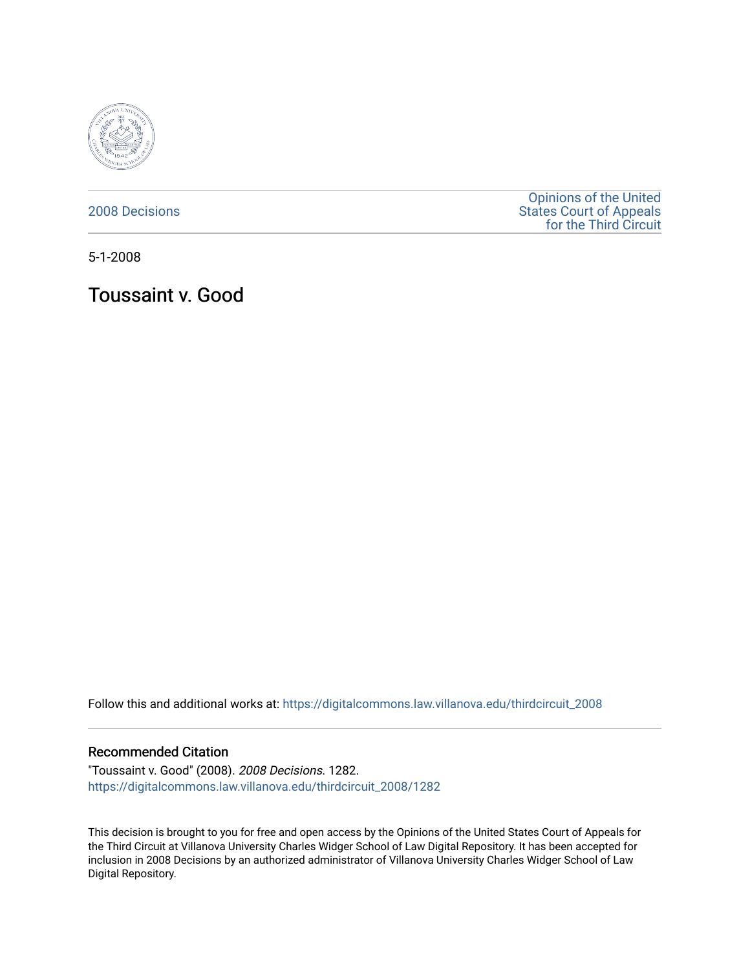

[2008 Decisions](https://digitalcommons.law.villanova.edu/thirdcircuit_2008)

[Opinions of the United](https://digitalcommons.law.villanova.edu/thirdcircuit)  [States Court of Appeals](https://digitalcommons.law.villanova.edu/thirdcircuit)  [for the Third Circuit](https://digitalcommons.law.villanova.edu/thirdcircuit) 

5-1-2008

Toussaint v. Good

Follow this and additional works at: [https://digitalcommons.law.villanova.edu/thirdcircuit\\_2008](https://digitalcommons.law.villanova.edu/thirdcircuit_2008?utm_source=digitalcommons.law.villanova.edu%2Fthirdcircuit_2008%2F1282&utm_medium=PDF&utm_campaign=PDFCoverPages) 

#### Recommended Citation

"Toussaint v. Good" (2008). 2008 Decisions. 1282. [https://digitalcommons.law.villanova.edu/thirdcircuit\\_2008/1282](https://digitalcommons.law.villanova.edu/thirdcircuit_2008/1282?utm_source=digitalcommons.law.villanova.edu%2Fthirdcircuit_2008%2F1282&utm_medium=PDF&utm_campaign=PDFCoverPages) 

This decision is brought to you for free and open access by the Opinions of the United States Court of Appeals for the Third Circuit at Villanova University Charles Widger School of Law Digital Repository. It has been accepted for inclusion in 2008 Decisions by an authorized administrator of Villanova University Charles Widger School of Law Digital Repository.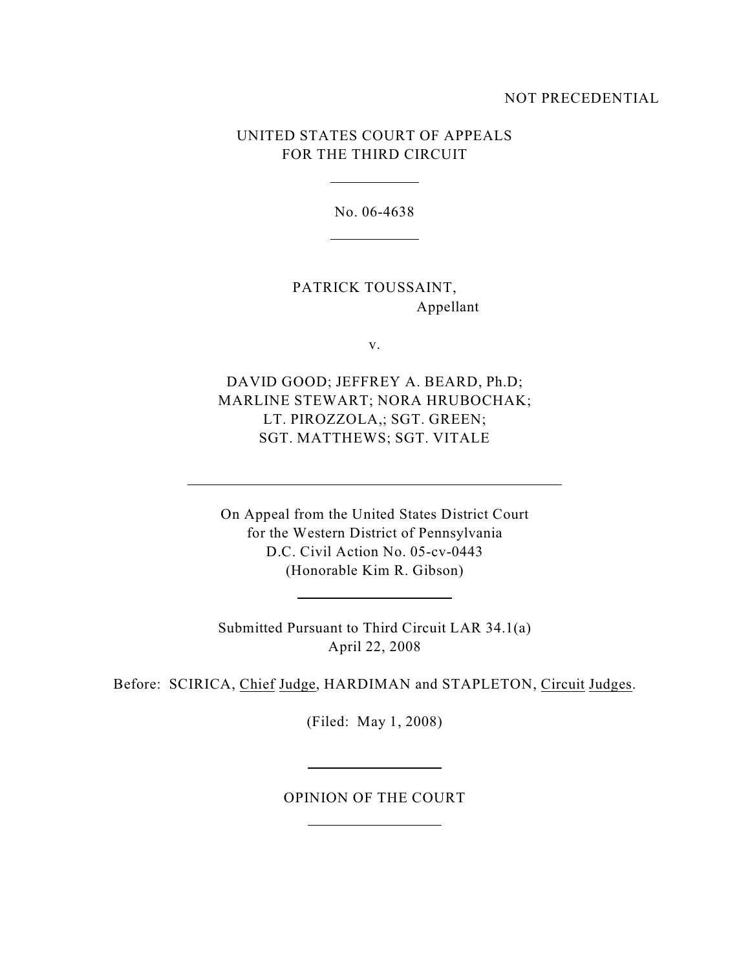### NOT PRECEDENTIAL

# UNITED STATES COURT OF APPEALS FOR THE THIRD CIRCUIT

No. 06-4638

PATRICK TOUSSAINT, Appellant

v.

DAVID GOOD; JEFFREY A. BEARD, Ph.D; MARLINE STEWART; NORA HRUBOCHAK; LT. PIROZZOLA,; SGT. GREEN; SGT. MATTHEWS; SGT. VITALE

On Appeal from the United States District Court for the Western District of Pennsylvania D.C. Civil Action No. 05-cv-0443 (Honorable Kim R. Gibson)

Submitted Pursuant to Third Circuit LAR 34.1(a) April 22, 2008

<u> 1990 - Johann Barbara, martin a</u>

Before: SCIRICA, Chief Judge, HARDIMAN and STAPLETON, Circuit Judges.

(Filed: May 1, 2008)

## OPINION OF THE COURT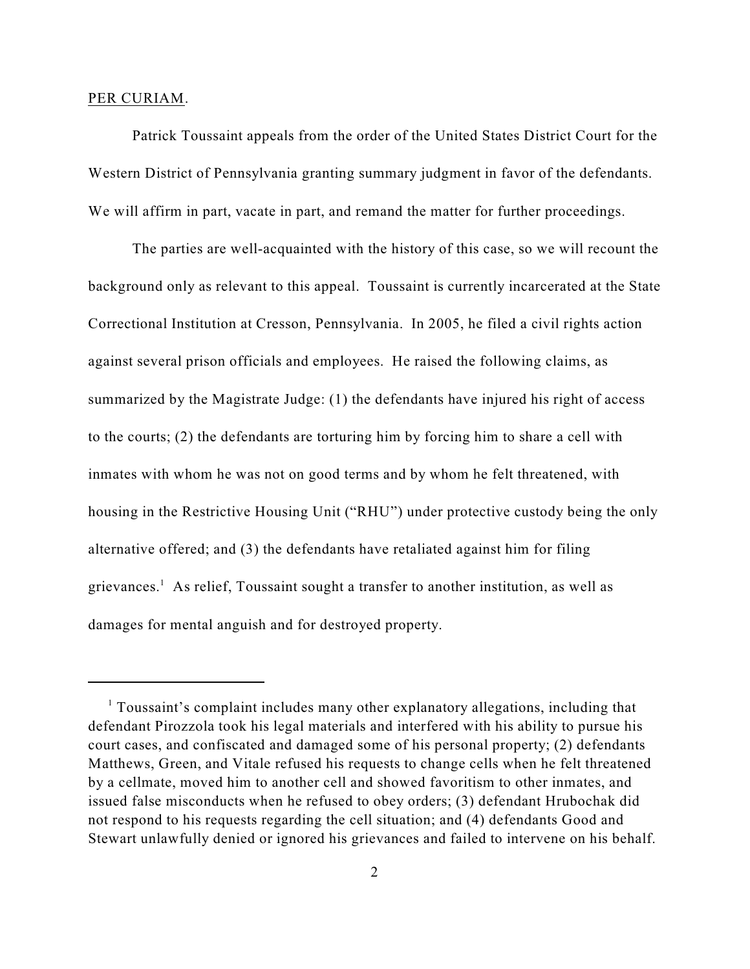#### PER CURIAM.

Patrick Toussaint appeals from the order of the United States District Court for the Western District of Pennsylvania granting summary judgment in favor of the defendants. We will affirm in part, vacate in part, and remand the matter for further proceedings.

The parties are well-acquainted with the history of this case, so we will recount the background only as relevant to this appeal. Toussaint is currently incarcerated at the State Correctional Institution at Cresson, Pennsylvania. In 2005, he filed a civil rights action against several prison officials and employees. He raised the following claims, as summarized by the Magistrate Judge: (1) the defendants have injured his right of access to the courts; (2) the defendants are torturing him by forcing him to share a cell with inmates with whom he was not on good terms and by whom he felt threatened, with housing in the Restrictive Housing Unit ("RHU") under protective custody being the only alternative offered; and (3) the defendants have retaliated against him for filing grievances.<sup>1</sup> As relief, Toussaint sought a transfer to another institution, as well as damages for mental anguish and for destroyed property.

 $1$  Toussaint's complaint includes many other explanatory allegations, including that defendant Pirozzola took his legal materials and interfered with his ability to pursue his court cases, and confiscated and damaged some of his personal property; (2) defendants Matthews, Green, and Vitale refused his requests to change cells when he felt threatened by a cellmate, moved him to another cell and showed favoritism to other inmates, and issued false misconducts when he refused to obey orders; (3) defendant Hrubochak did not respond to his requests regarding the cell situation; and (4) defendants Good and Stewart unlawfully denied or ignored his grievances and failed to intervene on his behalf.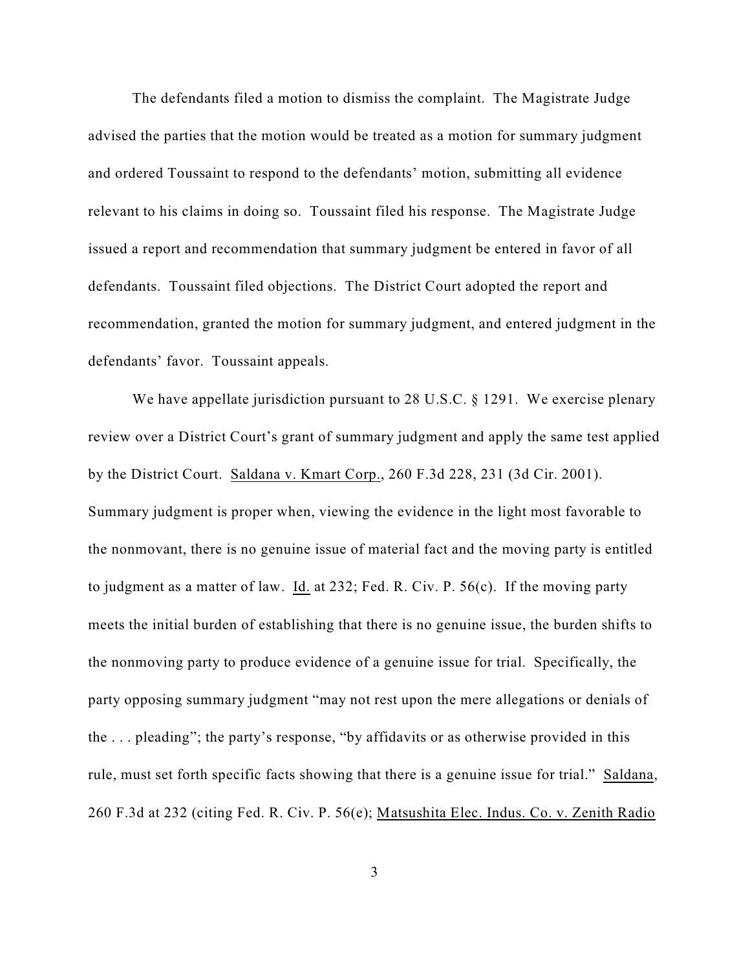The defendants filed a motion to dismiss the complaint. The Magistrate Judge advised the parties that the motion would be treated as a motion for summary judgment and ordered Toussaint to respond to the defendants' motion, submitting all evidence relevant to his claims in doing so. Toussaint filed his response. The Magistrate Judge issued a report and recommendation that summary judgment be entered in favor of all defendants. Toussaint filed objections. The District Court adopted the report and recommendation, granted the motion for summary judgment, and entered judgment in the defendants' favor. Toussaint appeals.

We have appellate jurisdiction pursuant to 28 U.S.C. § 1291. We exercise plenary review over a District Court's grant of summary judgment and apply the same test applied by the District Court. Saldana v. Kmart Corp., 260 F.3d 228, 231 (3d Cir. 2001). Summary judgment is proper when, viewing the evidence in the light most favorable to the nonmovant, there is no genuine issue of material fact and the moving party is entitled to judgment as a matter of law. Id. at 232; Fed. R. Civ. P. 56(c). If the moving party meets the initial burden of establishing that there is no genuine issue, the burden shifts to the nonmoving party to produce evidence of a genuine issue for trial. Specifically, the party opposing summary judgment "may not rest upon the mere allegations or denials of the . . . pleading"; the party's response, "by affidavits or as otherwise provided in this rule, must set forth specific facts showing that there is a genuine issue for trial." Saldana, 260 F.3d at 232 (citing Fed. R. Civ. P. 56(e); Matsushita Elec. Indus. Co. v. Zenith Radio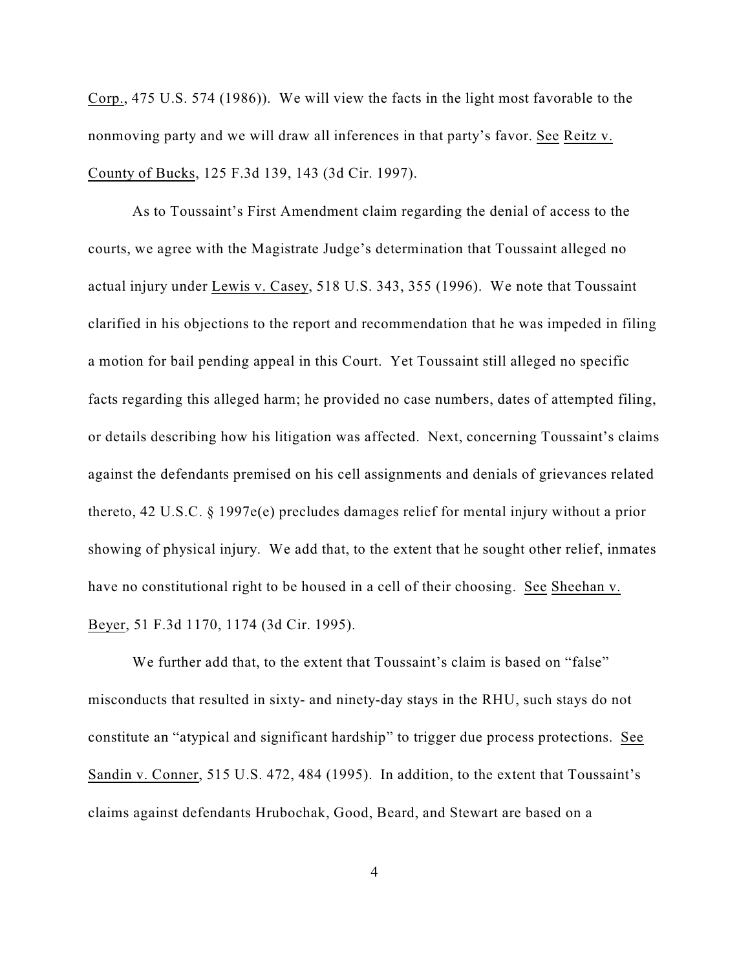Corp., 475 U.S. 574 (1986)). We will view the facts in the light most favorable to the nonmoving party and we will draw all inferences in that party's favor. See Reitz v. County of Bucks, 125 F.3d 139, 143 (3d Cir. 1997).

As to Toussaint's First Amendment claim regarding the denial of access to the courts, we agree with the Magistrate Judge's determination that Toussaint alleged no actual injury under Lewis v. Casey, 518 U.S. 343, 355 (1996). We note that Toussaint clarified in his objections to the report and recommendation that he was impeded in filing a motion for bail pending appeal in this Court. Yet Toussaint still alleged no specific facts regarding this alleged harm; he provided no case numbers, dates of attempted filing, or details describing how his litigation was affected. Next, concerning Toussaint's claims against the defendants premised on his cell assignments and denials of grievances related thereto, 42 U.S.C. § 1997e(e) precludes damages relief for mental injury without a prior showing of physical injury. We add that, to the extent that he sought other relief, inmates have no constitutional right to be housed in a cell of their choosing. See Sheehan v. Beyer, 51 F.3d 1170, 1174 (3d Cir. 1995).

We further add that, to the extent that Toussaint's claim is based on "false" misconducts that resulted in sixty- and ninety-day stays in the RHU, such stays do not constitute an "atypical and significant hardship" to trigger due process protections. See Sandin v. Conner, 515 U.S. 472, 484 (1995). In addition, to the extent that Toussaint's claims against defendants Hrubochak, Good, Beard, and Stewart are based on a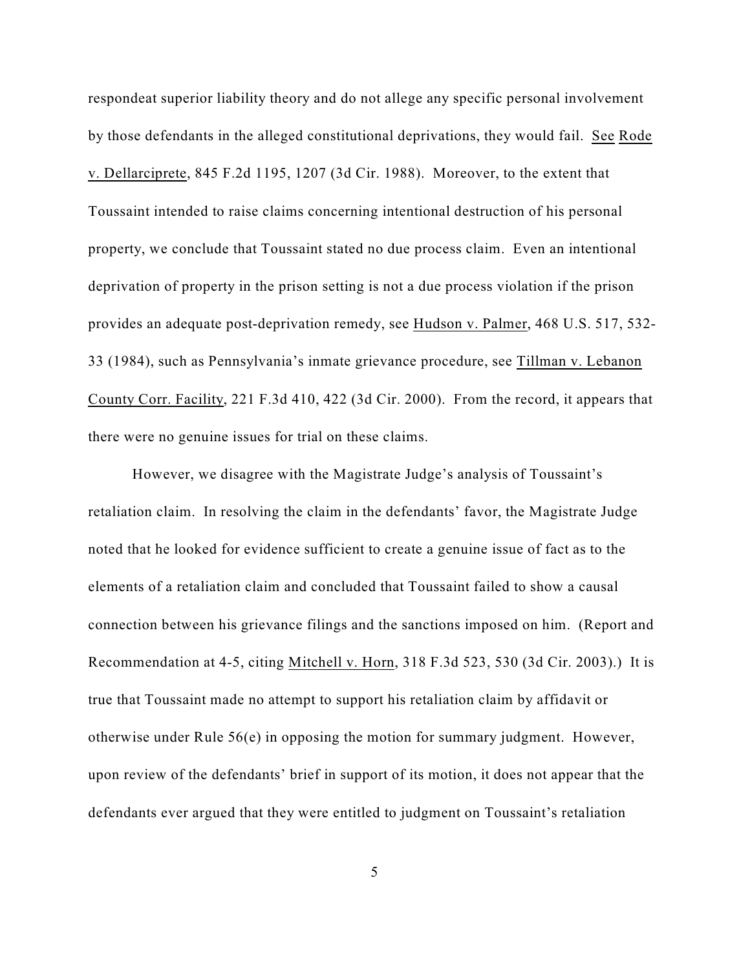respondeat superior liability theory and do not allege any specific personal involvement by those defendants in the alleged constitutional deprivations, they would fail. See Rode v. Dellarciprete, 845 F.2d 1195, 1207 (3d Cir. 1988). Moreover, to the extent that Toussaint intended to raise claims concerning intentional destruction of his personal property, we conclude that Toussaint stated no due process claim. Even an intentional deprivation of property in the prison setting is not a due process violation if the prison provides an adequate post-deprivation remedy, see Hudson v. Palmer, 468 U.S. 517, 532- 33 (1984), such as Pennsylvania's inmate grievance procedure, see Tillman v. Lebanon County Corr. Facility, 221 F.3d 410, 422 (3d Cir. 2000). From the record, it appears that there were no genuine issues for trial on these claims.

However, we disagree with the Magistrate Judge's analysis of Toussaint's retaliation claim. In resolving the claim in the defendants' favor, the Magistrate Judge noted that he looked for evidence sufficient to create a genuine issue of fact as to the elements of a retaliation claim and concluded that Toussaint failed to show a causal connection between his grievance filings and the sanctions imposed on him. (Report and Recommendation at 4-5, citing Mitchell v. Horn, 318 F.3d 523, 530 (3d Cir. 2003).) It is true that Toussaint made no attempt to support his retaliation claim by affidavit or otherwise under Rule 56(e) in opposing the motion for summary judgment. However, upon review of the defendants' brief in support of its motion, it does not appear that the defendants ever argued that they were entitled to judgment on Toussaint's retaliation